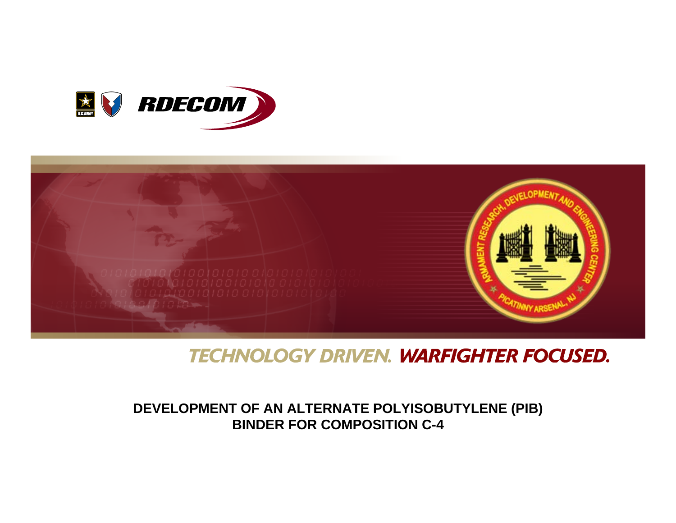



### **TECHNOLOGY DRIVEN. WARFIGHTER FOCUSED.**

#### **DEVELOPMENT OF AN ALTERNATE POLYISOBUTYLENE (PIB) BINDER FOR COMPOSITION C-4**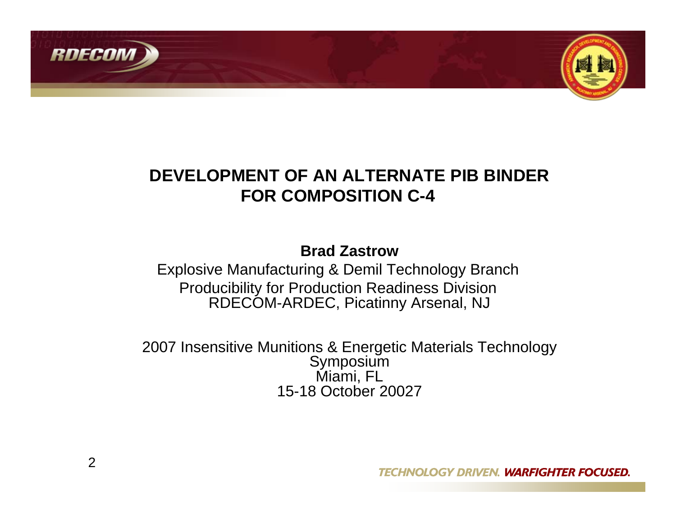



## **DEVELOPMENT OF AN ALTERNATE PIB BINDERFOR COMPOSITION C-4**

#### **Brad Zastrow**

Explosive Manufacturing & Demil Technology Branch Producibility for Production Readiness Division RDECOM-ARDEC, Picatinny Arsenal, NJ

2007 Insensitive Munitions & Energetic Materials Technology Symposium Miami, FL 15-18 October 20027

**TECHNOLOGY DRIVEN. WARFIGHTER FOCUSED.**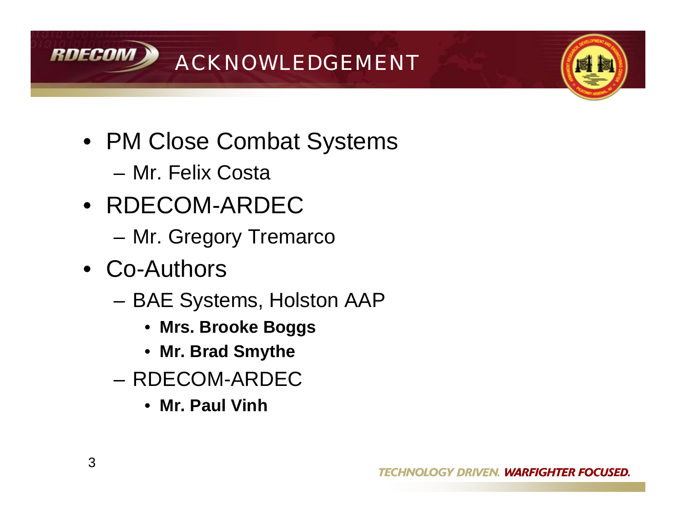



- PM Close Combat Systems
	- Mr. Felix Costa
- RDECOM-ARDEC
	- Mr. Gregory Tremarco
- Co-Authors
	- BAE Systems, Holston AAP
		- **Mrs. Brooke Boggs**
		- **Mr. Brad Smythe**
	- RDECOM-ARDEC
		- **Mr. Paul Vinh**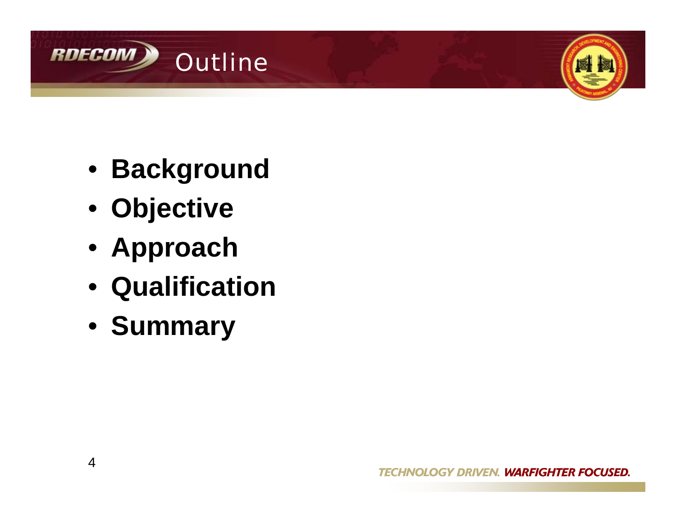



- **Background**
- **Objective**
- **Approach**
- **Qualification**
- **Summary**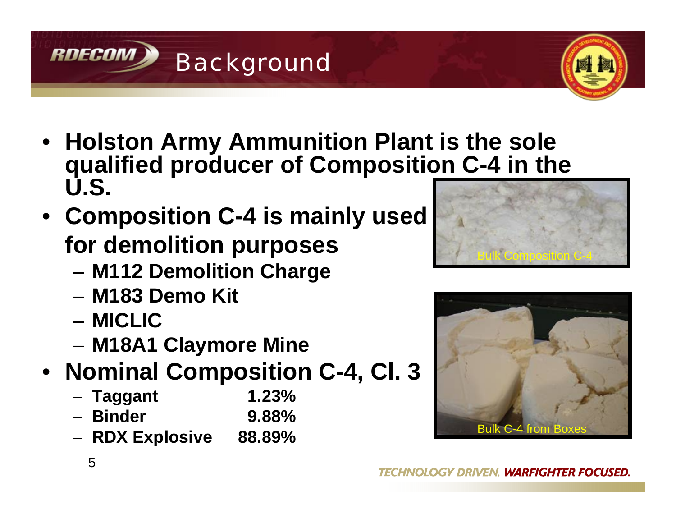- **Holston Army Ammunition Plant is the sole qualified producer of Composition C-4 in the U.S.**
- **Composition C-4 is mainly used for demolition purposes**

Background

- **M112 Demolition Charge**
- **M183 Demo Kit**
- **MICLIC**

**RDECOM** 

– **M18A1 Claymore Mine**

# • **Nominal Composition C-4, Cl. 3**

- **Taggant 1.23%** – **Binder 9.88%**
- **RDX Explosive 88.89%**





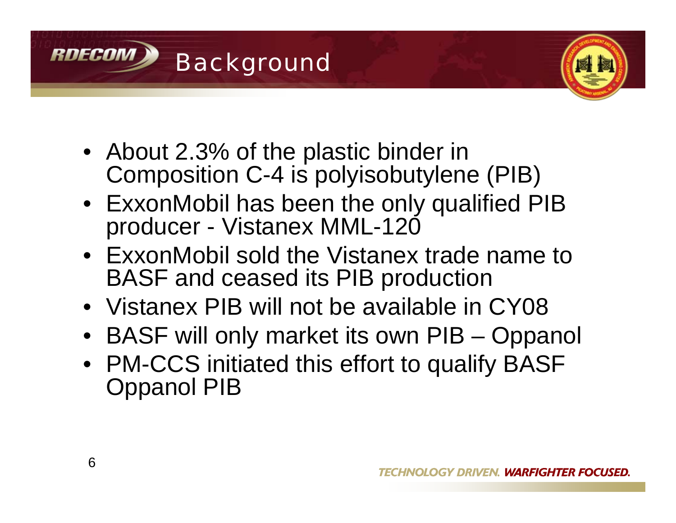



- About 2.3% of the plastic binder in Composition C-4 is polyisobutylene (PIB)
- ExxonMobil has been the only qualified PIB producer - Vistanex MML-120
- ExxonMobil sold the Vistanex trade name to BASF and ceased its PIB production
- Vistanex PIB will not be available in CY08
- BASF will only market its own PIB Oppanol
- PM-CCS initiated this effort to qualify BASF Oppanol PIB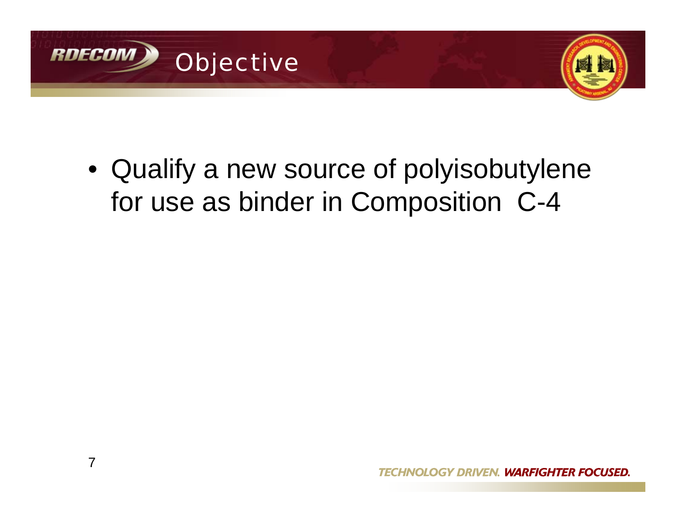



• Qualify a new source of polyisobutylene for use as binder in Composition C-4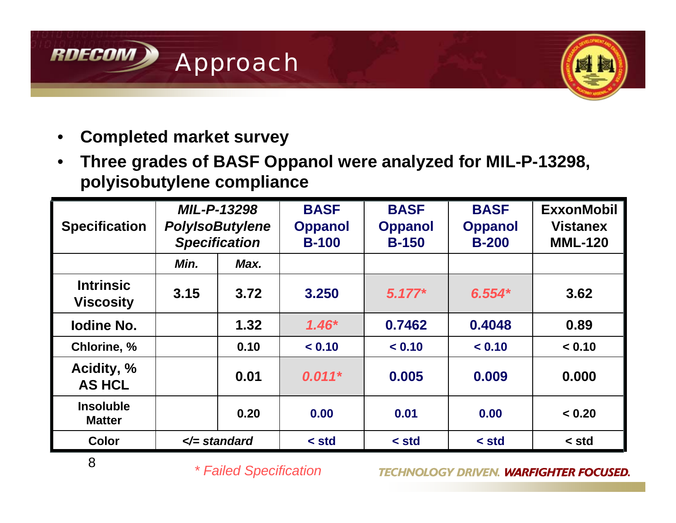



- **Completed market survey**
- **Three grades of BASF Oppanol were analyzed for MIL-P-13298, polyisobutylene compliance**

| <b>Specification</b>                 | <b>MIL-P-13298</b><br><b>PolyIsoButylene</b><br><b>Specification</b> |      | <b>BASF</b><br><b>Oppanol</b><br><b>B-100</b> | <b>BASF</b><br><b>Oppanol</b><br><b>B-150</b> | <b>BASF</b><br><b>Oppanol</b><br><b>B-200</b> | <b>ExxonMobil</b><br><b>Vistanex</b><br><b>MML-120</b> |
|--------------------------------------|----------------------------------------------------------------------|------|-----------------------------------------------|-----------------------------------------------|-----------------------------------------------|--------------------------------------------------------|
|                                      | Min.                                                                 | Max. |                                               |                                               |                                               |                                                        |
| <b>Intrinsic</b><br><b>Viscosity</b> | 3.15                                                                 | 3.72 | 3.250                                         | $5.177*$                                      | $6.554*$                                      | 3.62                                                   |
| <b>Iodine No.</b>                    |                                                                      | 1.32 | $1.46*$                                       | 0.7462                                        | 0.4048                                        | 0.89                                                   |
| Chlorine, %                          |                                                                      | 0.10 | < 0.10                                        | < 0.10                                        | < 0.10                                        | < 0.10                                                 |
| Acidity, %<br><b>AS HCL</b>          |                                                                      | 0.01 | $0.011*$                                      | 0.005                                         | 0.009                                         | 0.000                                                  |
| <b>Insoluble</b><br><b>Matter</b>    |                                                                      | 0.20 | 0.00                                          | 0.01                                          | 0.00                                          | < 0.20                                                 |
| <b>Color</b>                         | $\le$ standard                                                       |      | $\le$ std                                     | $\le$ std                                     | $\le$ std                                     | < std                                                  |

*\* Failed Specification*

**TECHNOLOGY DRIVEN. WARFIGHTER FOCUSED.**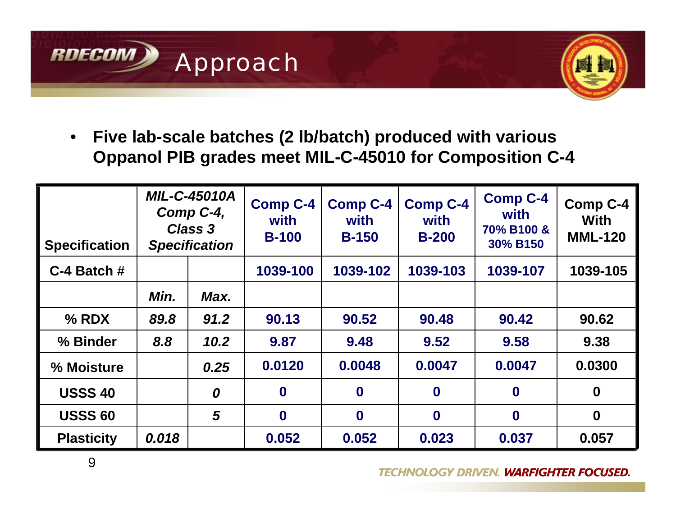



• **Five lab-scale batches (2 lb/batch) produced with various Oppanol PIB grades meet MIL-C-45010 for Composition C-4**

| <b>Specification</b> | <b>MIL-C-45010A</b><br>Comp C-4,<br>Class 3<br><b>Specification</b> |      | <b>Comp C-4</b><br>with<br><b>B-100</b> | <b>Comp C-4</b><br>with<br><b>B-150</b> | <b>Comp C-4</b><br>with<br><b>B-200</b> | <b>Comp C-4</b><br>with<br>70% B100 &<br>30% B150 | Comp C-4<br><b>With</b><br><b>MML-120</b> |
|----------------------|---------------------------------------------------------------------|------|-----------------------------------------|-----------------------------------------|-----------------------------------------|---------------------------------------------------|-------------------------------------------|
| C-4 Batch #          |                                                                     |      | 1039-100                                | 1039-102                                | 1039-103                                | 1039-107                                          | 1039-105                                  |
|                      | Min.                                                                | Max. |                                         |                                         |                                         |                                                   |                                           |
| $%$ RDX              | 89.8                                                                | 91.2 | 90.13                                   | 90.52                                   | 90.48                                   | 90.42                                             | 90.62                                     |
| % Binder             | 8.8                                                                 | 10.2 | 9.87                                    | 9.48                                    | 9.52                                    | 9.58                                              | 9.38                                      |
| % Moisture           |                                                                     | 0.25 | 0.0120                                  | 0.0048                                  | 0.0047                                  | 0.0047                                            | 0.0300                                    |
| <b>USSS 40</b>       |                                                                     | 0    | $\boldsymbol{0}$                        | $\bf{0}$                                | $\bf{0}$                                | $\mathbf 0$                                       | $\bf{0}$                                  |
| <b>USSS 60</b>       |                                                                     | 5    | $\bf{0}$                                | $\bf{0}$                                | $\bf{0}$                                | $\boldsymbol{0}$                                  | $\mathbf 0$                               |
| <b>Plasticity</b>    | 0.018                                                               |      | 0.052                                   | 0.052                                   | 0.023                                   | 0.037                                             | 0.057                                     |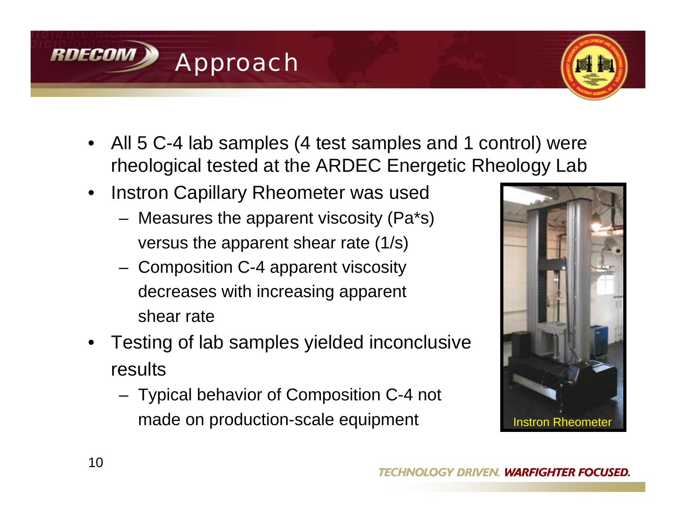

- Testing of lab samples yielded inconclusive results
	- Typical behavior of Composition C-4 not made on production-scale equipment Instron Rheometer



• All 5 C-4 lab samples (4 test samples and 1 control) were

• Instron Capillary Rheometer was used

Approach

- rheological tested at the ARDEC Energetic Rheology Lab
- - Measures the apparent viscosity (Pa\*s) versus the apparent shear rate (1/s)
	- Composition C-4 apparent viscosity decreases with increasing apparent

shear rate

**RDECOM**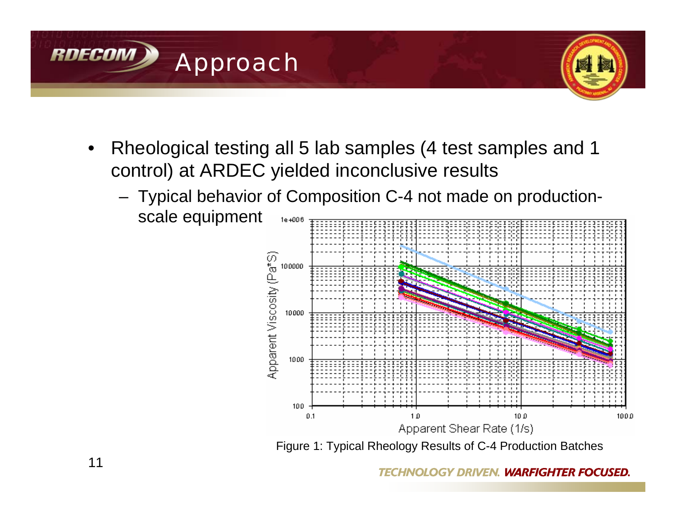

- Rheological testing all 5 lab samples (4 test samples and 1 control) at ARDEC yielded inconclusive results
	- Typical behavior of Composition C-4 not made on productionscale equipment 1e+006



Figure 1: Typical Rheology Results of C-4 Production Batches

**TECHNOLOGY DRIVEN. WARFIGHTER FOCUSED.**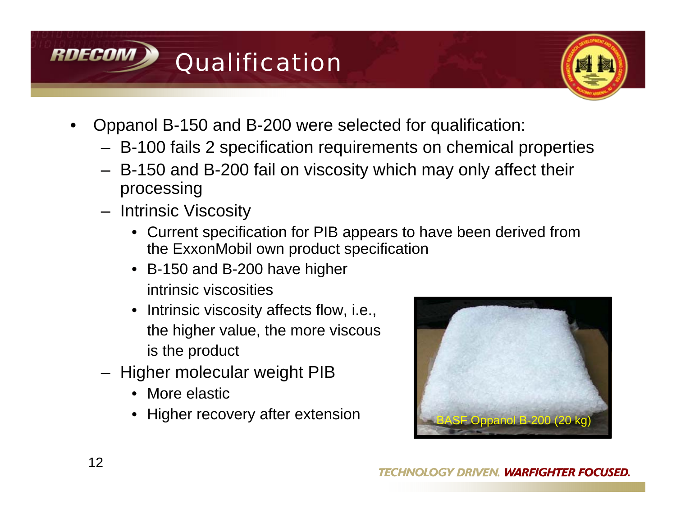



- Oppanol B-150 and B-200 were selected for qualification:
	- B-100 fails 2 specification requirements on chemical properties
	- B-150 and B-200 fail on viscosity which may only affect their processing
	- Intrinsic Viscosity
		- Current specification for PIB appears to have been derived from the ExxonMobil own product specification
		- B-150 and B-200 have higher intrinsic viscosities
		- Intrinsic viscosity affects flow, i.e., the higher value, the more viscous is the product
	- Higher molecular weight PIB
		- More elastic
		- Higher recovery after extension BASF Oppanol B-200 (20 kg)

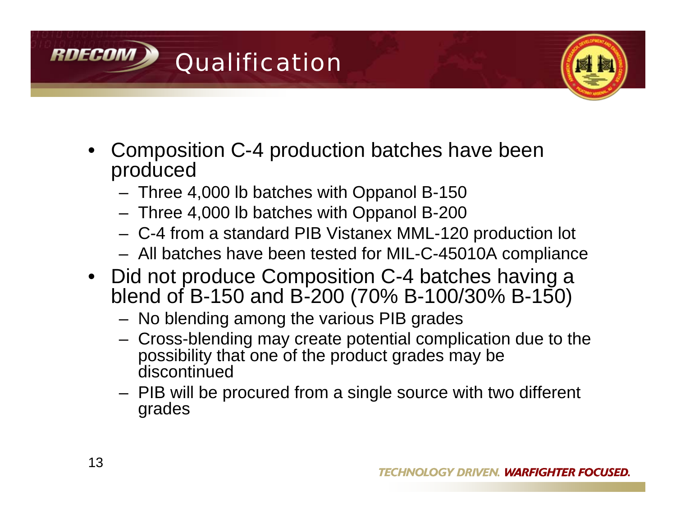



- Composition C-4 production batches have been produced
	- Three 4,000 lb batches with Oppanol B-150
	- Three 4,000 lb batches with Oppanol B-200
	- C-4 from a standard PIB Vistanex MML-120 production lot
	- All batches have been tested for MIL-C-45010A compliance
- Did not produce Composition C-4 batches having a blend of B-150 and B-200 (70% B-100/30% B-150)
	- No blending among the various PIB grades
	- Cross-blending may create potential complication due to the possibility that one of the product grades may be discontinued
	- PIB will be procured from a single source with two different grades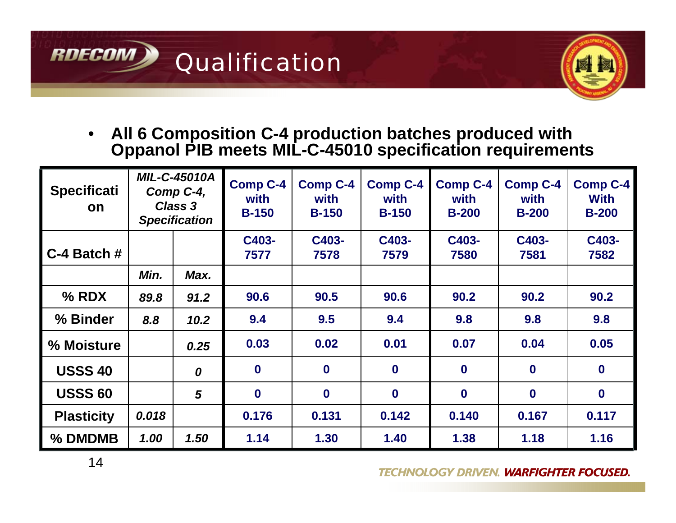



• **All 6 Composition C-4 production batches produced with Oppanol PIB meets MIL-C-45010 specification requirements**

| <b>Specificati</b><br><b>on</b> | <b>MIL-C-45010A</b><br>Comp C-4,<br><b>Class 3</b><br><b>Specification</b> |      | <b>Comp C-4</b><br>with<br><b>B-150</b> | <b>Comp C-4</b><br>with<br><b>B-150</b> | <b>Comp C-4</b><br>with<br><b>B-150</b> | <b>Comp C-4</b><br>with<br>$B-200$ | <b>Comp C-4</b><br>with<br><b>B-200</b> | <b>Comp C-4</b><br><b>With</b><br>$B-200$ |
|---------------------------------|----------------------------------------------------------------------------|------|-----------------------------------------|-----------------------------------------|-----------------------------------------|------------------------------------|-----------------------------------------|-------------------------------------------|
| $C-4$ Batch #                   |                                                                            |      | C403-<br>7577                           | C403-<br>7578                           | C403-<br>7579                           | C403-<br>7580                      | C403-<br>7581                           | C403-<br>7582                             |
|                                 | Min.                                                                       | Max. |                                         |                                         |                                         |                                    |                                         |                                           |
| $%$ RDX                         | 89.8                                                                       | 91.2 | 90.6                                    | 90.5                                    | 90.6                                    | 90.2                               | 90.2                                    | 90.2                                      |
| % Binder                        | 8.8                                                                        | 10.2 | 9.4                                     | 9.5                                     | 9.4                                     | 9.8                                | 9.8                                     | 9.8                                       |
| % Moisture                      |                                                                            | 0.25 | 0.03                                    | 0.02                                    | 0.01                                    | 0.07                               | 0.04                                    | 0.05                                      |
| <b>USSS 40</b>                  |                                                                            | 0    | $\mathbf{0}$                            | $\mathbf 0$                             | $\bf{0}$                                | $\bf{0}$                           | $\bf{0}$                                | $\bf{0}$                                  |
| <b>USSS 60</b>                  |                                                                            | 5    | $\bf{0}$                                | $\bf{0}$                                | $\bf{0}$                                | $\bf{0}$                           | $\mathbf{0}$                            | $\mathbf 0$                               |
| <b>Plasticity</b>               | 0.018                                                                      |      | 0.176                                   | 0.131                                   | 0.142                                   | 0.140                              | 0.167                                   | 0.117                                     |
| % DMDMB                         | 1.00                                                                       | 1.50 | 1.14                                    | 1.30                                    | 1.40                                    | 1.38                               | 1.18                                    | 1.16                                      |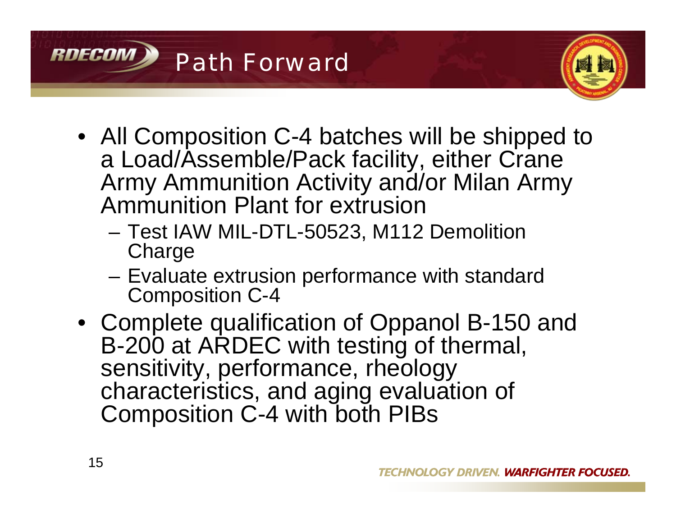



- All Composition C-4 batches will be shipped to a Load/Assemble/Pack facility, either Crane Army Ammunition Activity and/or Milan Army Ammunition Plant for extrusion
	- Test IAW MIL-DTL-50523, M112 Demolition **Charge**
	- Evaluate extrusion performance with standard Composition C-4
- Complete qualification of Oppanol B-150 and B-200 at ARDEC with testing of thermal, sensitivity, performance, rheology characteristics, and aging evaluation of Composition C-4 with both PIBs